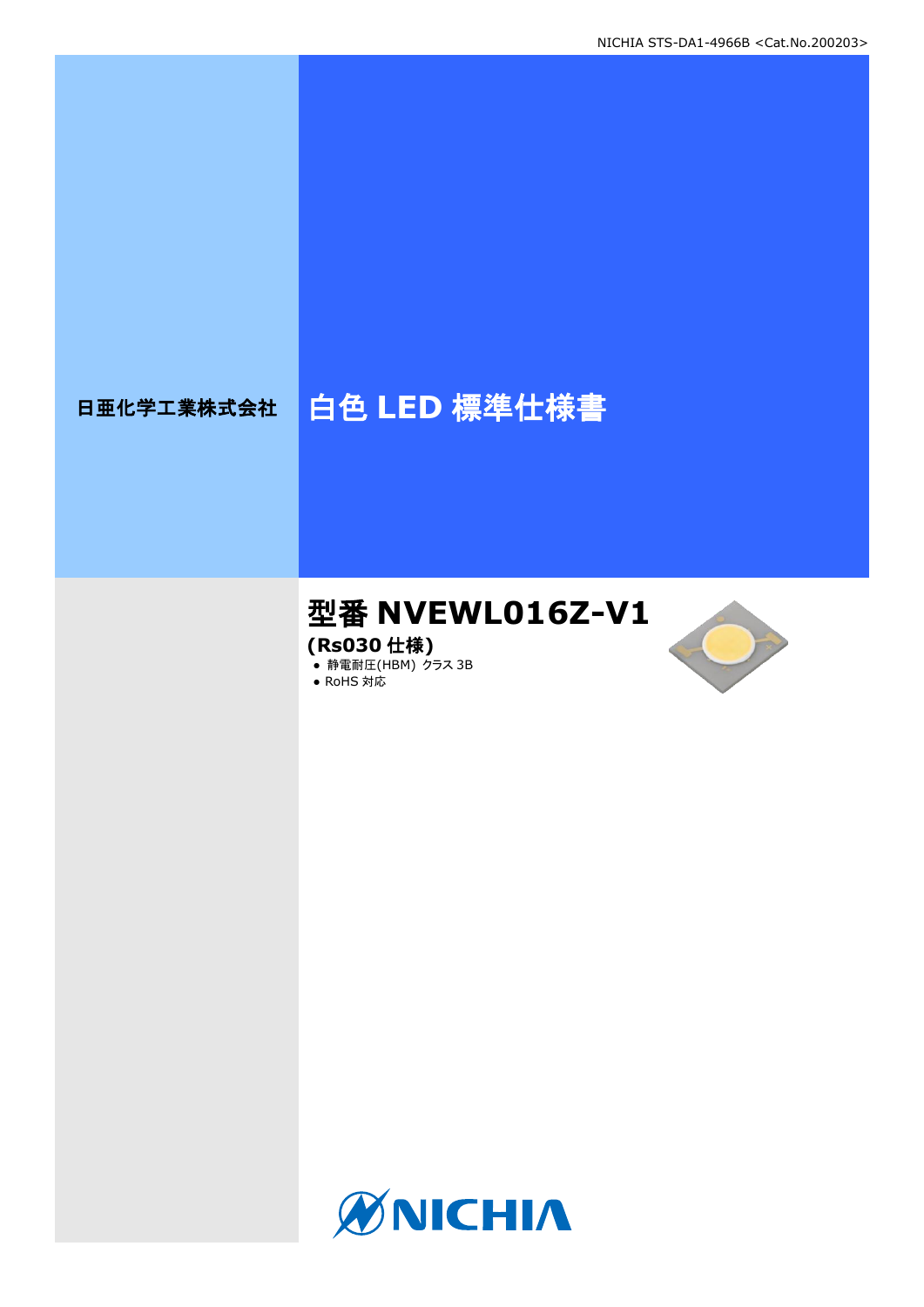# 日亜化学工業株式会社 | 白色 LED 標準仕様書

# 型番 **NVEWL016Z-V1**

**(Rs030** 仕様**)**

**● 静電耐圧(HBM) クラス 3B** 





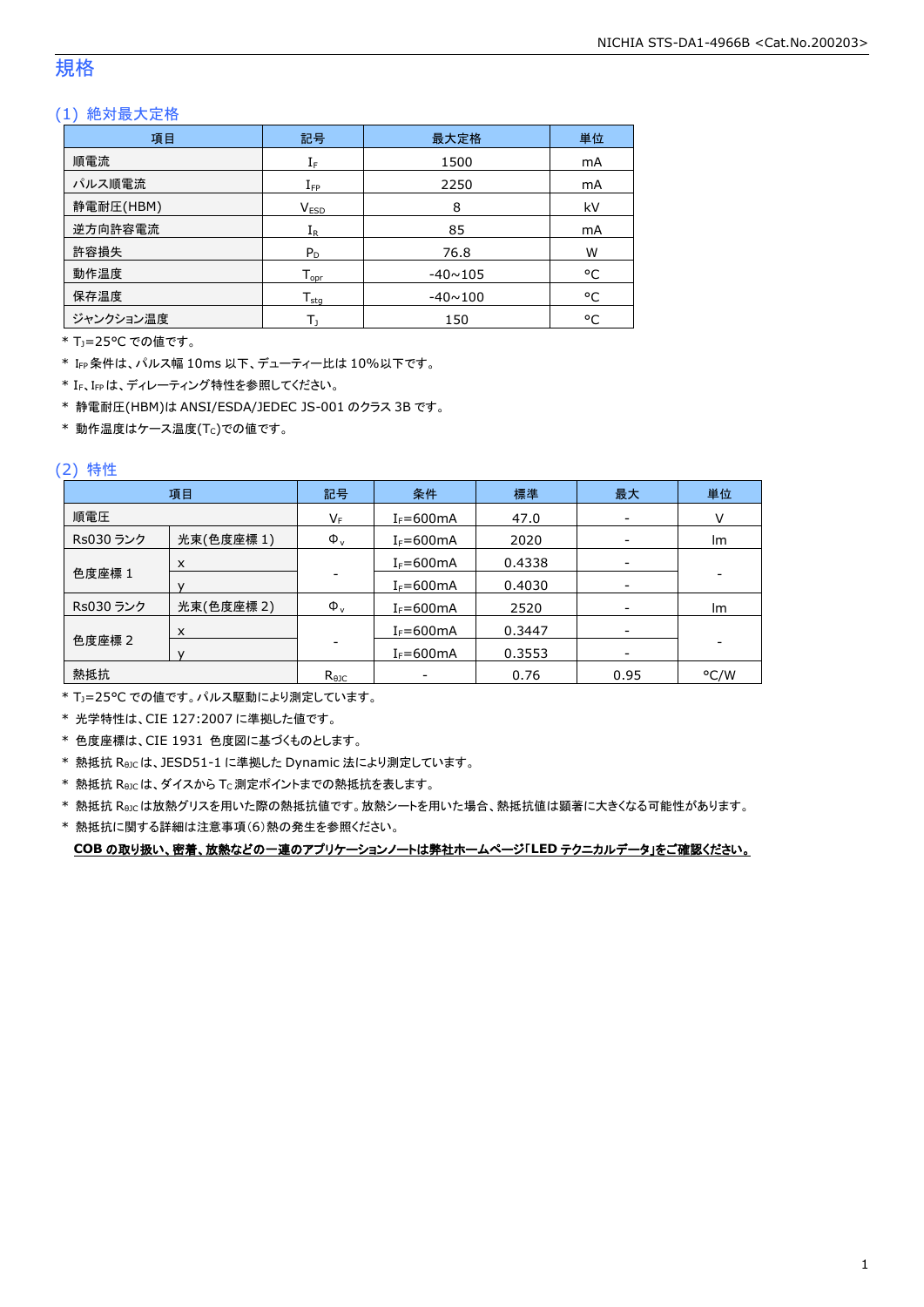### 規格

### (1) 絶対最大定格

| 項目        | 記号                           | 最大定格           | 単位 |
|-----------|------------------------------|----------------|----|
| 順電流       | $\mathrm{I}_\mathrm{F}$      | 1500           | mA |
| パルス順電流    | $I_{\text{FP}}$              | 2250           | mA |
| 静電耐圧(HBM) | V <sub>ESD</sub>             | 8              | kV |
| 逆方向許容電流   | $I_{R}$                      | 85             | mA |
| 許容損失      | $P_D$                        | 76.8           | W  |
| 動作温度      | ${\mathsf T}_{\textsf{opr}}$ | $-40 \sim 105$ | °C |
| 保存温度      | ${\mathsf T}_{\textsf{stg}}$ | $-40 \sim 100$ | °C |
| ジャンクション温度 |                              | 150            | ۰c |

\* TJ=25°C での値です。

\* IFP条件は、パルス幅 10ms 以下、デューティー比は 10%以下です。

\* IF、IFPは、ディレーティング特性を参照してください。

\* 静電耐圧(HBM)は ANSI/ESDA/JEDEC JS-001 のクラス 3B です。

 $*$ 動作温度はケース温度(Tc)での値です。

### (2) 特性

|           | 項目         | 記号             | 条件             | 標準     | 最大                       | 単位                       |
|-----------|------------|----------------|----------------|--------|--------------------------|--------------------------|
| 順電圧       |            | VF             | $I_F = 600$ mA | 47.0   | $\overline{\phantom{a}}$ | v                        |
| Rs030 ランク | 光束(色度座標1)  | $\Phi_{\rm v}$ | $I_F = 600$ mA | 2020   |                          | Im                       |
|           | X          |                | $I_F = 600$ mA | 0.4338 | $\overline{\phantom{a}}$ |                          |
| 色度座標 1    |            |                | $I_F = 600mA$  | 0.4030 | -                        | $\overline{\phantom{a}}$ |
| Rs030 ランク | 光束(色度座標 2) | $\Phi_{\rm v}$ | $I_F = 600$ mA | 2520   | $\overline{\phantom{a}}$ | Im                       |
|           | X          |                | $I_F = 600mA$  | 0.3447 | $\overline{\phantom{a}}$ |                          |
| 色度座標 2    |            |                | $I_F = 600$ mA | 0.3553 |                          |                          |
| 熱抵抗       |            | $R_{\theta$ JC |                | 0.76   | 0.95                     | °C/W                     |

\* TJ=25°C での値です。パルス駆動により測定しています。

\* 光学特性は、CIE 127:2007 に準拠した値です。

\* 色度座標は、CIE 1931 色度図に基づくものとします。

\* 熱抵抗 RθJCは、JESD51-1 に準拠した Dynamic 法により測定しています。

 $*$  熱抵抗  $R_{\theta JC}$ は、ダイスから Tc 測定ポイントまでの熱抵抗を表します。

\* 熱抵抗 RθJCは放熱グリスを用いた際の熱抵抗値です。放熱シートを用いた場合、熱抵抗値は顕著に大きくなる可能性があります。

\* 熱抵抗に関する詳細は注意事項(6)熱の発生を参照ください。

**COB** の取り扱い、密着、放熱などの一連のアプリケーションノートは弊社ホームページ「**LED** テクニカルデータ」をご確認ください。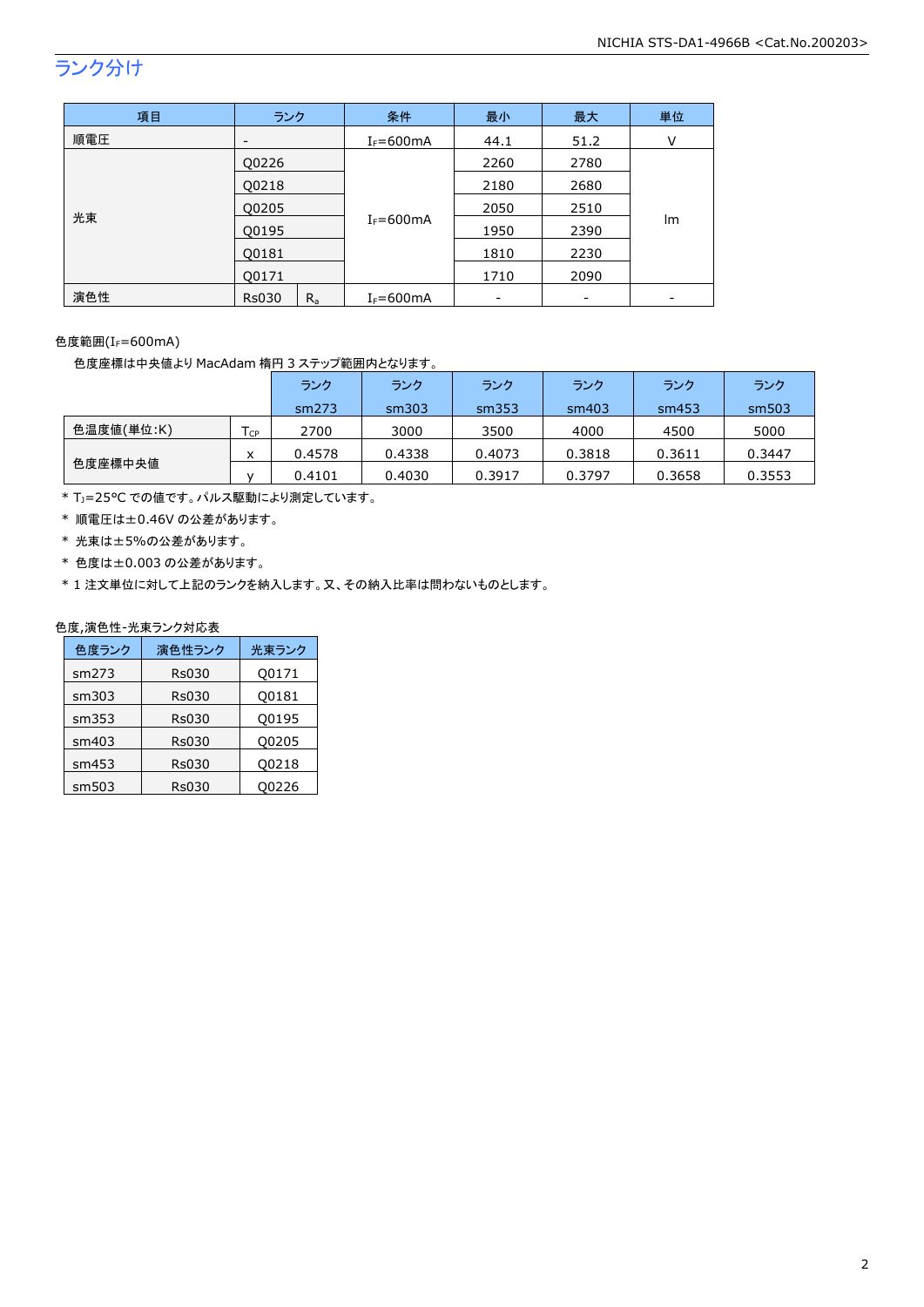## ランク分け

| 項目  | ランク          |         | 条件             | 最小   | 最大   | 単位 |
|-----|--------------|---------|----------------|------|------|----|
| 順電圧 | -            |         | $I_F = 600$ mA | 44.1 | 51.2 | v  |
| 光束  | Q0226        |         |                | 2260 | 2780 |    |
|     | Q0218        |         |                | 2180 | 2680 |    |
|     | Q0205        |         |                | 2050 | 2510 |    |
|     | Q0195        |         | $I_F = 600mA$  | 1950 | 2390 | Im |
|     | Q0181        |         |                | 1810 | 2230 |    |
|     | Q0171        |         |                | 1710 | 2090 |    |
| 演色性 | <b>Rs030</b> | $R_{a}$ | $I_F = 600$ mA |      |      |    |

色度範囲(I<sub>F</sub>=600mA)

色度座標は中央値より MacAdam 楕円 3 ステップ範囲内となります。

|            |                   | ランク    | ランク    | ランク    | ランク    | ランク    | ランク    |
|------------|-------------------|--------|--------|--------|--------|--------|--------|
|            |                   | sm273  | sm303  | sm353  | sm403  | sm453  | sm503  |
| 色温度値(単位:K) | $T_{\mathsf{CP}}$ | 2700   | 3000   | 3500   | 4000   | 4500   | 5000   |
|            | x                 | 0.4578 | 0.4338 | 0.4073 | 0.3818 | 0.3611 | 0.3447 |
| 色度座標中央値    |                   | 0.4101 | 0.4030 | 0.3917 | 0.3797 | 0.3658 | 0.3553 |

\* TJ=25°C での値です。パルス駆動により測定しています。

\* 順電圧は±0.46V の公差があります。

- \* 光束は±5%の公差があります。
- \* 色度は±0.003 の公差があります。

\* 1 注文単位に対して上記のランクを納入します。又、その納入比率は問わないものとします。

### 色度,演色性-光束ランク対応表

| 色度ランク | 演色性ランク       | 光束ランク |
|-------|--------------|-------|
| sm273 | <b>Rs030</b> | Q0171 |
| sm303 | <b>Rs030</b> | Q0181 |
| sm353 | <b>Rs030</b> | Q0195 |
| sm403 | <b>Rs030</b> | Q0205 |
| sm453 | <b>Rs030</b> | Q0218 |
| sm503 | Rs030        | 00226 |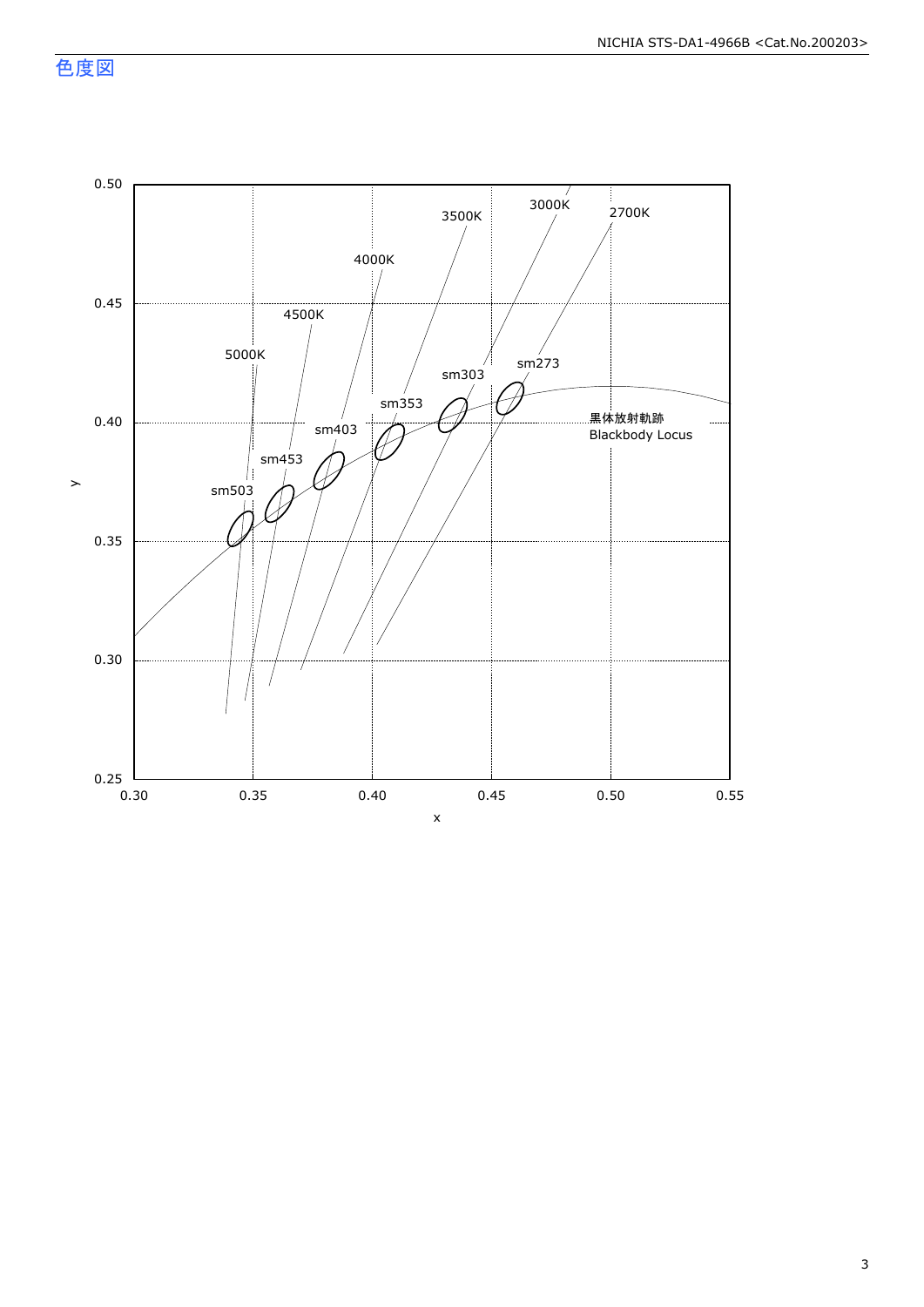色度図

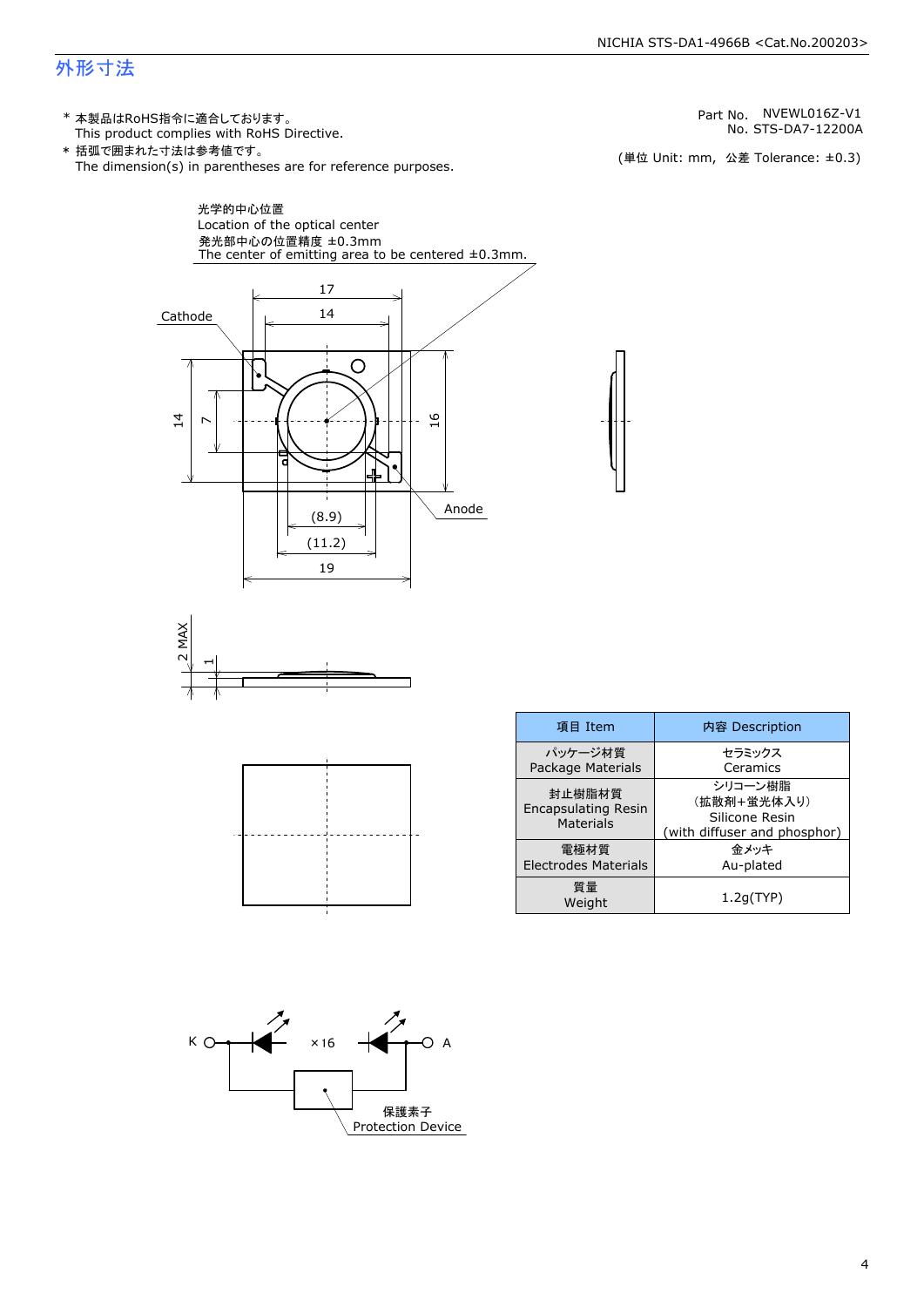#### NICHIA STS-DA1-4966B <Cat.No.200203>

### 外形寸法

(単位 Unit: mm) This product complies with RoHS Directive. \* 本製品はRoHS指令に適合しております。 (単位 Unit: mm, 公差 Tolerance: ±0.3) STS-DA7-12200A NVEWL016Z-V1 The dimension(s) in parentheses are for reference purposes. \* 括弧で囲まれた寸法は参考値です。 No. Part No.







| 項目 Item                                           | 内容 Description                                                           |  |  |
|---------------------------------------------------|--------------------------------------------------------------------------|--|--|
| パッケージ材質<br>Package Materials                      | セラミックス<br>Ceramics                                                       |  |  |
| 封止樹脂材質<br><b>Encapsulating Resin</b><br>Materials | シリコーン樹脂<br>(拡散剤+蛍光体入り)<br>Silicone Resin<br>(with diffuser and phosphor) |  |  |
| 雷極材質<br><b>Electrodes Materials</b>               | 金メッキ<br>Au-plated                                                        |  |  |
| 質量<br>Weight                                      | 1.2q(TYP)                                                                |  |  |

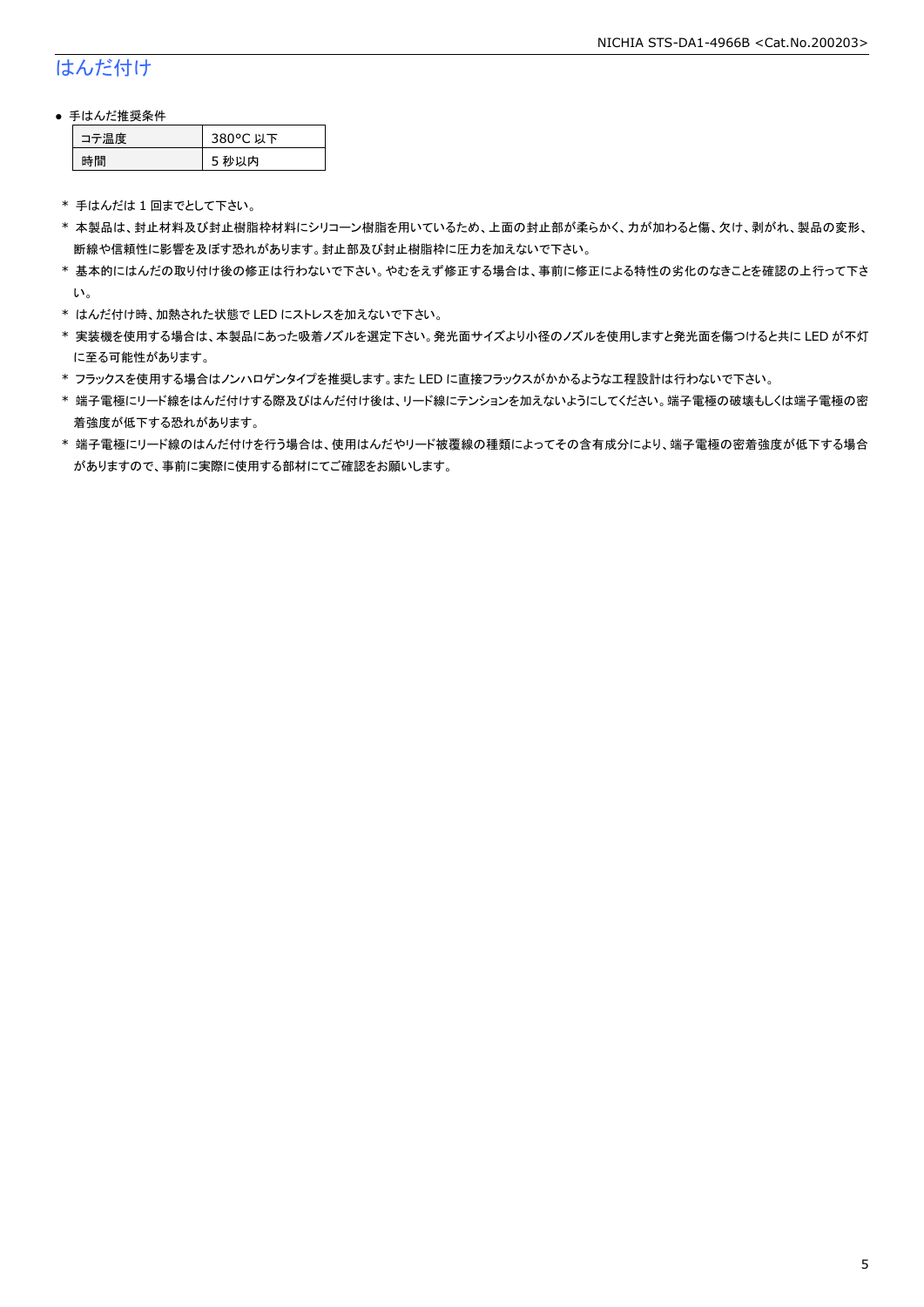### はんだ付け

### ● 手はんだ推奨条件

| →"烏庫」 | 380°C 以下 |
|-------|----------|
| .間    | 5 秒以内    |

\* 手はんだは 1 回までとして下さい。

- \* 本製品は、封止材料及び封止樹脂枠材料にシリコーン樹脂を用いているため、上面の封止部が柔らかく、力が加わると傷、欠け、剥がれ、製品の変形、 断線や信頼性に影響を及ぼす恐れがあります。封止部及び封止樹脂枠に圧力を加えないで下さい。
- \* 基本的にはんだの取り付け後の修正は行わないで下さい。やむをえず修正する場合は、事前に修正による特性の劣化のなきことを確認の上行って下さ い。
- \* はんだ付け時、加熱された状態で LED にストレスを加えないで下さい。
- \* 実装機を使用する場合は、本製品にあった吸着ノズルを選定下さい。発光面サイズより小径のノズルを使用しますと発光面を傷つけると共に LED が不灯 に至る可能性があります。
- \* フラックスを使用する場合はノンハロゲンタイプを推奨します。また LED に直接フラックスがかかるような工程設計は行わないで下さい。
- \* 端子電極にリード線をはんだ付けする際及びはんだ付け後は、リード線にテンションを加えないようにしてください。端子電極の破壊もしくは端子電極の密 着強度が低下する恐れがあります。
- \* 端子電極にリード線のはんだ付けを行う場合は、使用はんだやリード被覆線の種類によってその含有成分により、端子電極の密着強度が低下する場合 がありますので、事前に実際に使用する部材にてご確認をお願いします。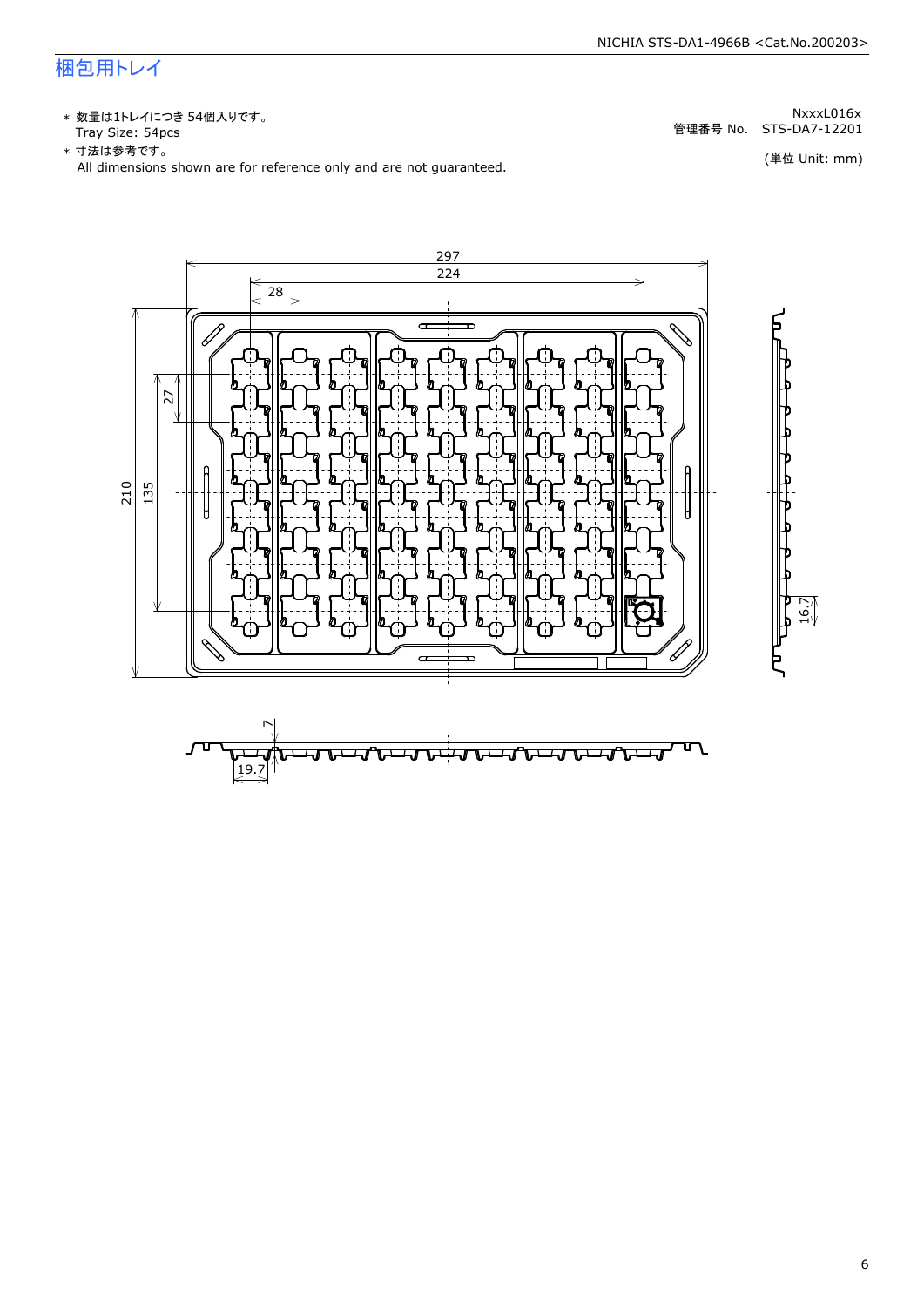### 梱包用トレイ

\* 数量は1トレイにつき 54個入りです。<br>Tray Size: 54pcs

\* 数量は1トレイにつき 54個入りです。<br>Tray Size: 54pcs<br>\* 寸法は参考です。<br>All dimensions shown are for reference only and are not guaranteed. \* づ法は参考です。



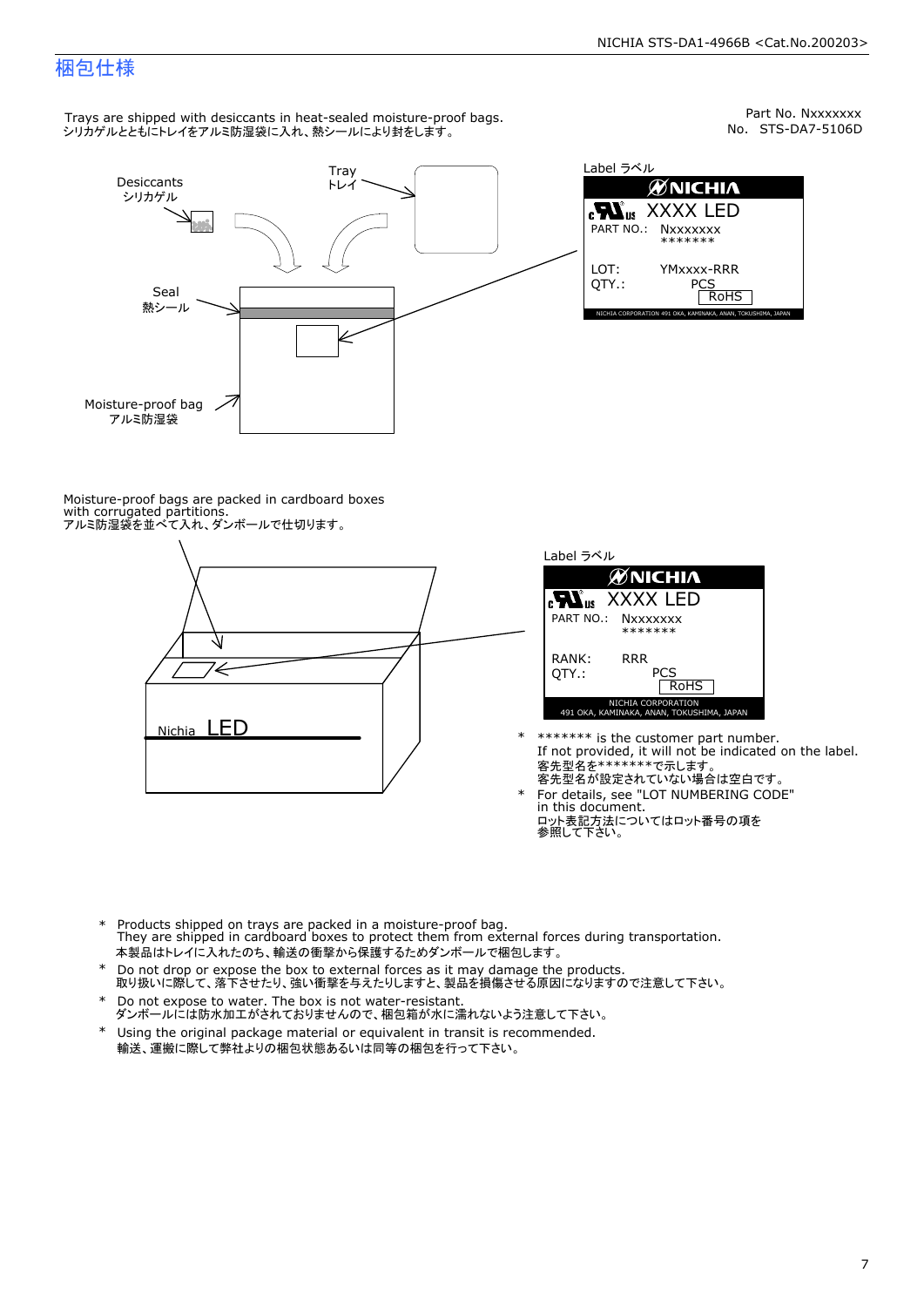Part No. Nxxxxxxx<br>No. STS-DA7-5106D

### 梱包仕様

Trays are shipped with desiccants in heat-sealed moisture-proof bags. シリカゲルとともにトレイをアルミ防湿袋に入れ、熱シールにより封をします。



Label ラベル  $\mathscr{U}$ NICHIA  $\begin{array}{lll} \text{cN}_{\text{us}} & \text{XXXX} & \text{LED} \\ \text{part no.:} & \text{Nxxxxxxx} \\ \text{LOT:} & \text{YMxxxx-RRR} \\ \text{QTY.:} & & \text{PCS} \\ \hline & \text{ROHS} \end{array}$ NICHIA CORPORATION <sup>491</sup> OKA, KAMINAKA, ANAN, TOKUSHIMA, JAPAN LOT: QTY.: YMxxxx-RRR PCS PART NO.:

Moisture-proof bags are packed in cardboard boxes with corrugated partitions. アルミ防湿袋を並べて入れ、ダンボールで仕切ります。





- \* \*\*\*\*\*\*\* is the customer part number.<br>If not provided, it will not be indicated on the label.<br>客先型名が設定されていない場合は空白です。
- For details, see "LOT NUMBERING CODE"<br>in this document.<br>ロット表記方法についてはロット番号の項を<br>参照して下さい。
- \* Products shipped on trays are packed in a moisture-proof bag.<br>They are shipped in cardboard boxes to protect them from external forces during transportation.<br>本製品はトレイに入れたのち、輸送の衝撃から保護するためダンボールで梱包します。<br>\* Do not drop or exp 本製品はトレイに入れたのち、輸送の衝撃から保護するためダンボールで梱包します。
- Do not drop or expose the box to external forces as it may damage the products. \*
- 取り扱いに際して、落下させたり、強い衝撃を与えたりしますと、製品を損傷させる原因になりますので注意して下さい。 Do not expose to water. The box is not water-resistant. \*
- ダンボールには防水加工がされておりませんので、梱包箱が水に濡れないよう注意して下さい。 \*
- 輸送、運搬に際して弊社よりの梱包状態あるいは同等の梱包を行って下さい。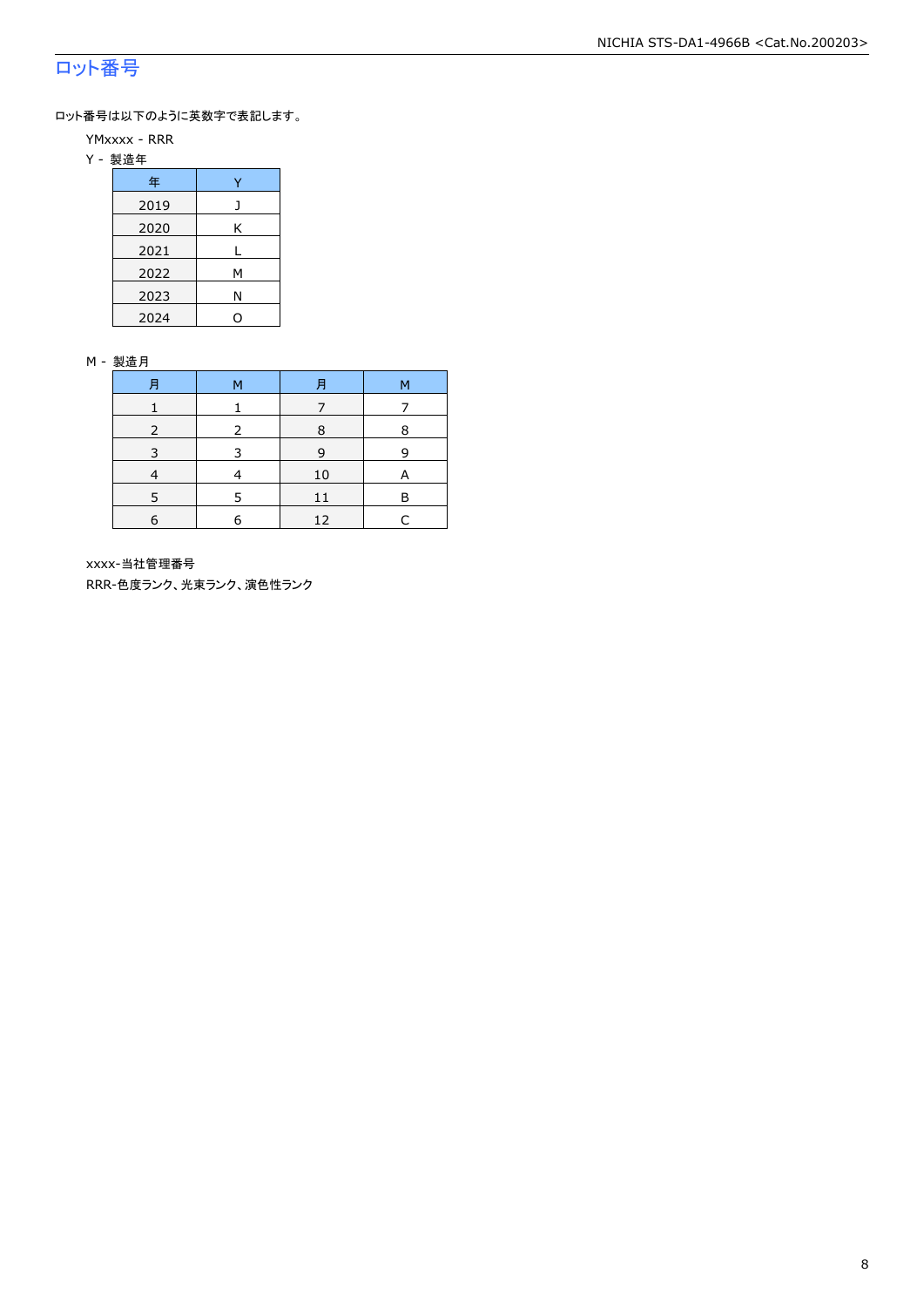### ロット番号

ロット番号は以下のように英数字で表記します。

- YMxxxx RRR
- Y 製造年

| 年    |   |  |  |  |  |
|------|---|--|--|--|--|
| 2019 |   |  |  |  |  |
| 2020 | Κ |  |  |  |  |
| 2021 |   |  |  |  |  |
| 2022 | м |  |  |  |  |
| 2023 | Ν |  |  |  |  |
| 2024 |   |  |  |  |  |

#### M - 製造月

| 月 | м | 月  | М |
|---|---|----|---|
|   |   |    |   |
|   |   | 8  | 8 |
|   |   | 9  | q |
|   |   | 10 | A |
|   |   |    | F |
| 6 | F | 12 |   |

xxxx-当社管理番号

RRR-色度ランク、光束ランク、演色性ランク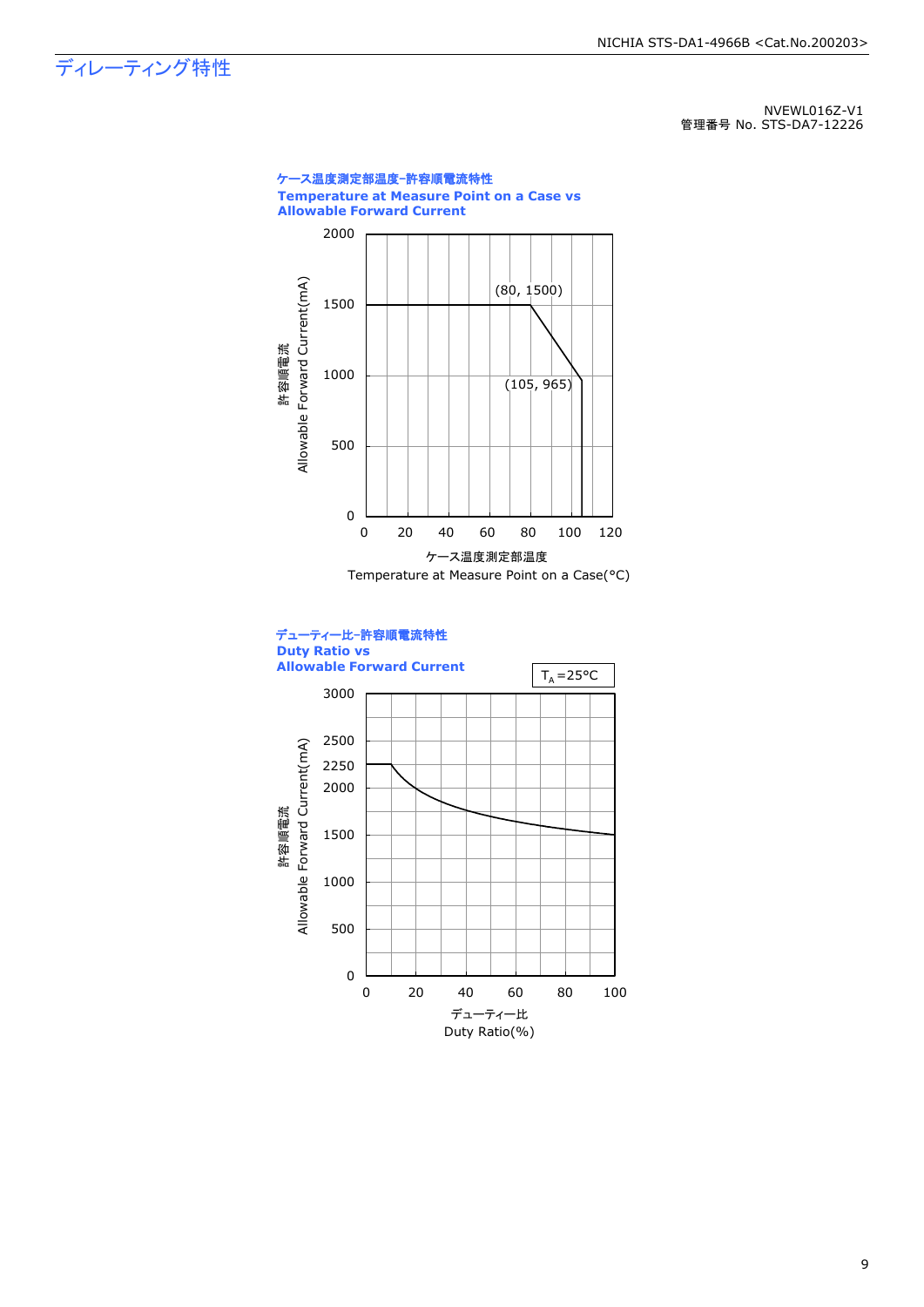ディレーティング特性

NVEWL016Z-V1 管理番号 No. STS-DA7-12226



9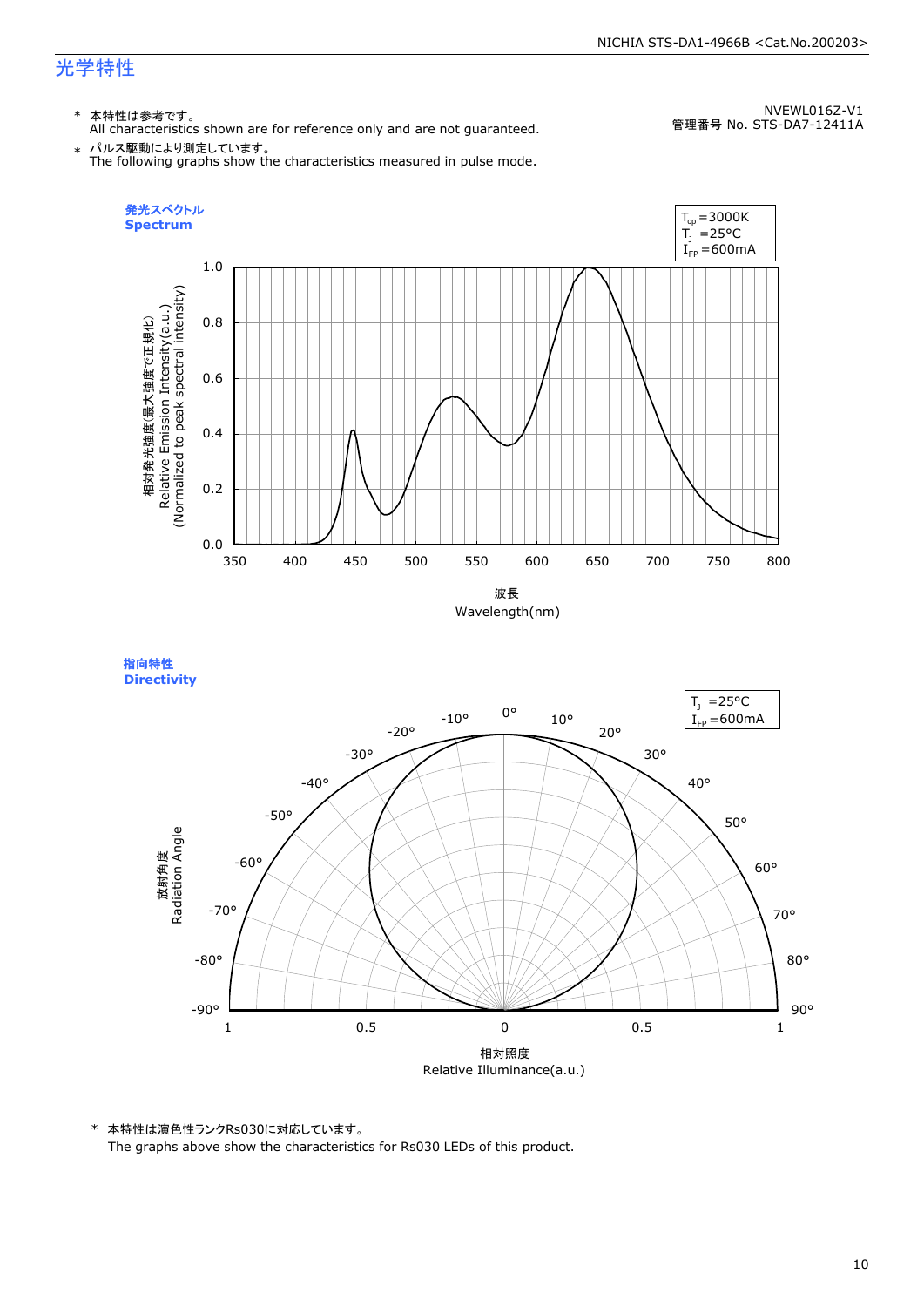### 光学特性

### \* 本特性は参考です。

All characteristics shown are for reference only and are not guaranteed.

NVEWL016Z-V1 管理番号 No. STS-DA7-12411A

 $\;\ast\;$  パルス駆動により測定しています。<br>The following graphs show the characteristics measured in pulse mode.



指向特性 **Directivity** 



\* 本特性は演色性ランクRs030に対応しています。 The graphs above show the characteristics for Rs030 LEDs of this product.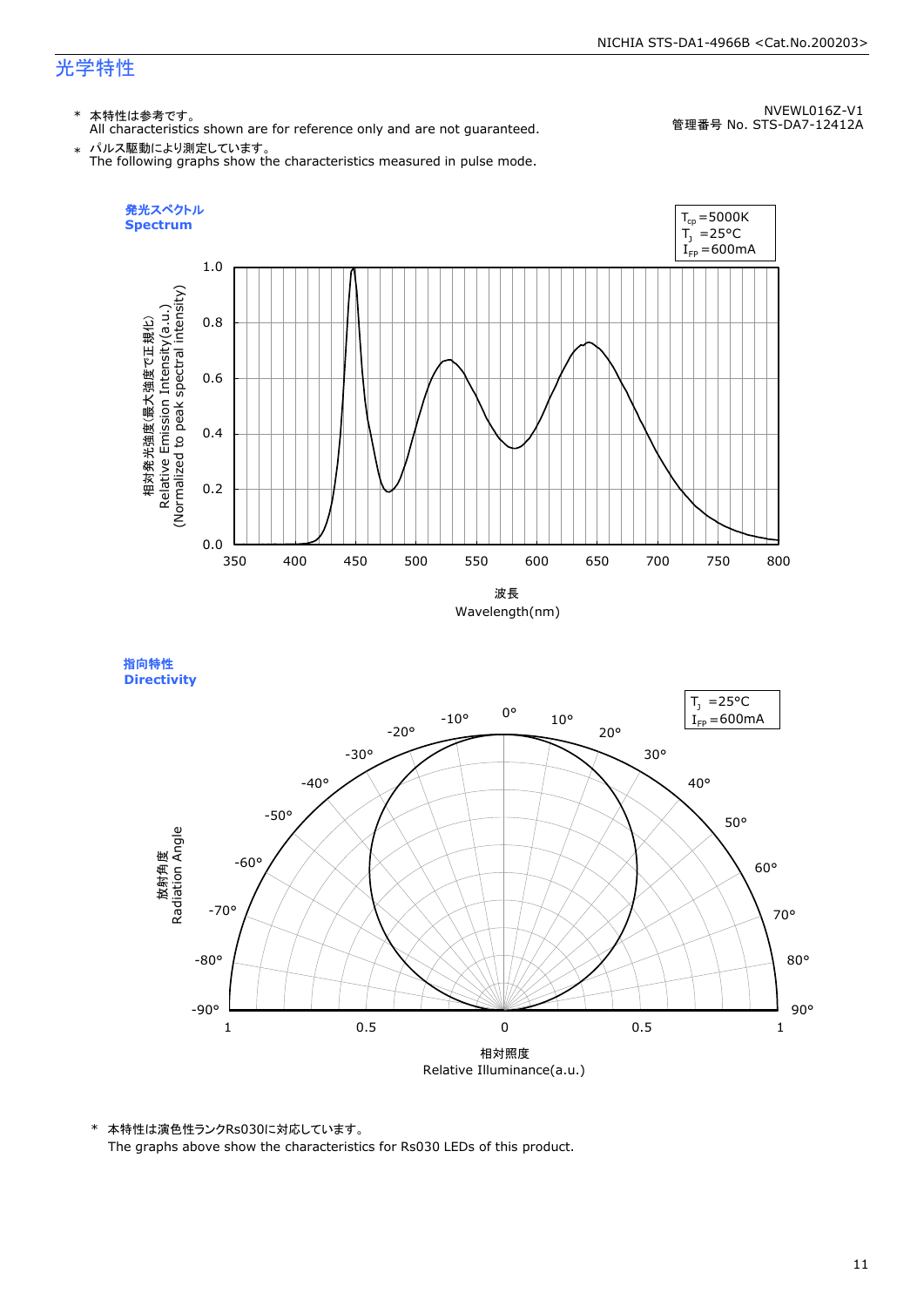### 光学特性

### \* 本特性は参考です。

All characteristics shown are for reference only and are not guaranteed.

NVEWL016Z-V1 管理番号 No. STS-DA7-12412A

 $\;\ast\;$  パルス駆動により測定しています。<br>The following graphs show the characteristics measured in pulse mode.



指向特性 **Directivity** 



\* 本特性は演色性ランクRs030に対応しています。 The graphs above show the characteristics for Rs030 LEDs of this product.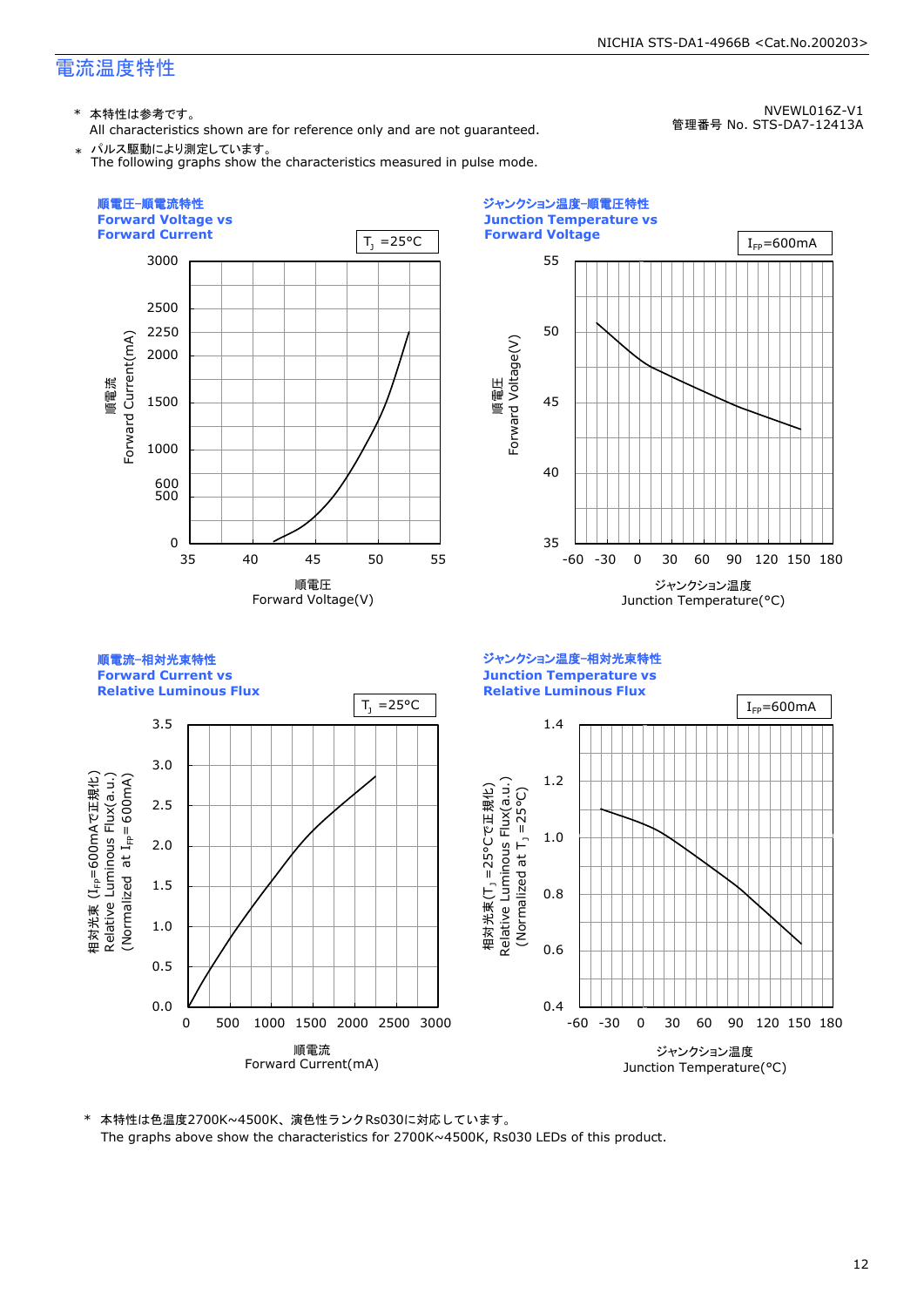\* 本特性は参考です。

All characteristics shown are for reference only and are not guaranteed. \* パルス駆動により測定しています。

The following graphs show the characteristics measured in pulse mode.

NVEWL016Z-V1 管理番号 No. STS-DA7-12413A

NICHIA STS-DA1-4966B <Cat.No.200203>



\* 本特性は色温度2700K~4500K、演色性ランクRs030に対応しています。 The graphs above show the characteristics for 2700K~4500K, Rs030 LEDs of this product.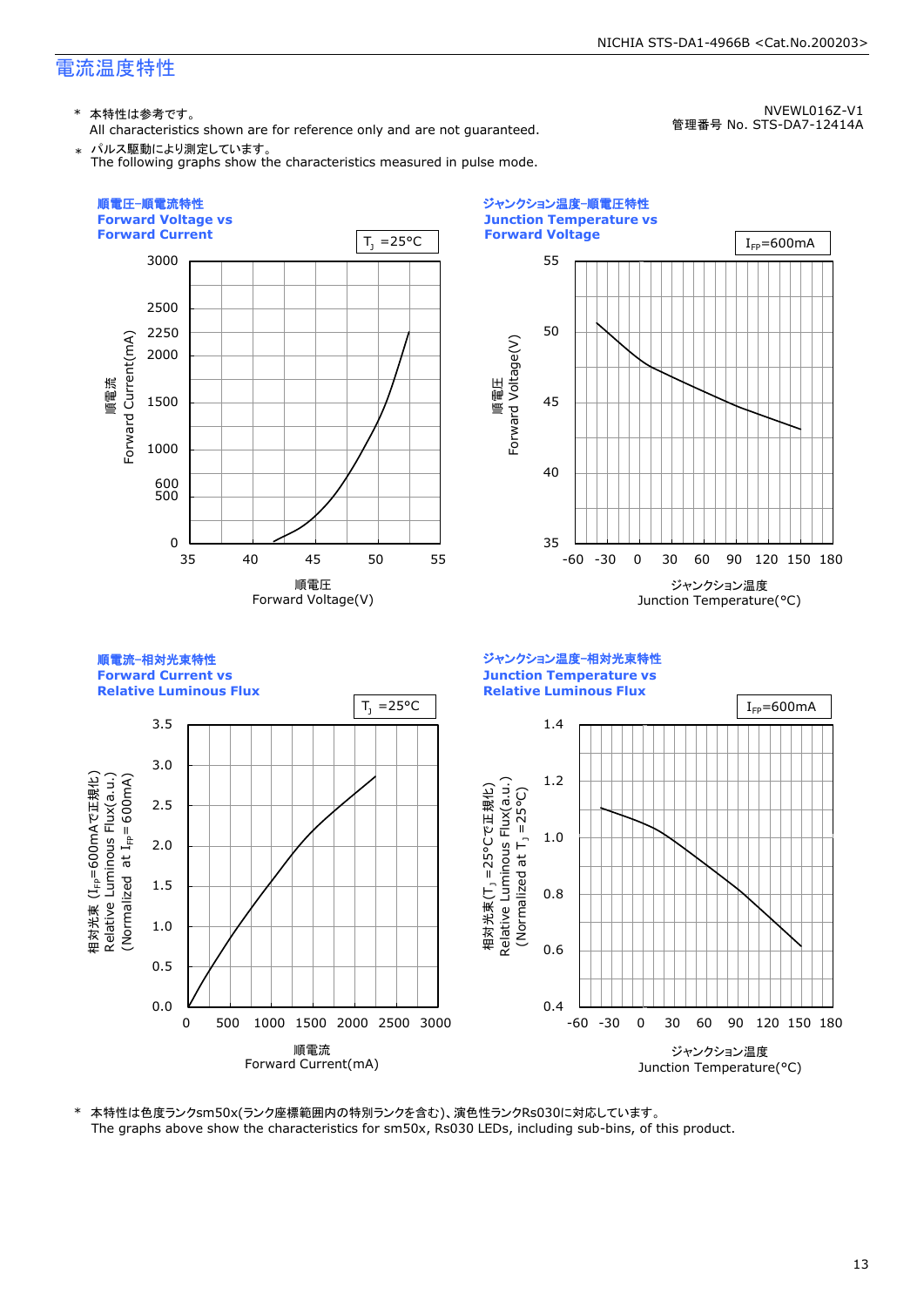\* 本特性は参考です。

All characteristics shown are for reference only and are not guaranteed. \* パルス駆動により測定しています。

The following graphs show the characteristics measured in pulse mode.

NVEWL016Z-V1 管理番号 No. STS-DA7-12414A

NICHIA STS-DA1-4966B <Cat.No.200203>



\* 本特性は色度ランクsm50x(ランク座標範囲内の特別ランクを含む)、演色性ランクRs030に対応しています。 The graphs above show the characteristics for sm50x, Rs030 LEDs, including sub-bins, of this product.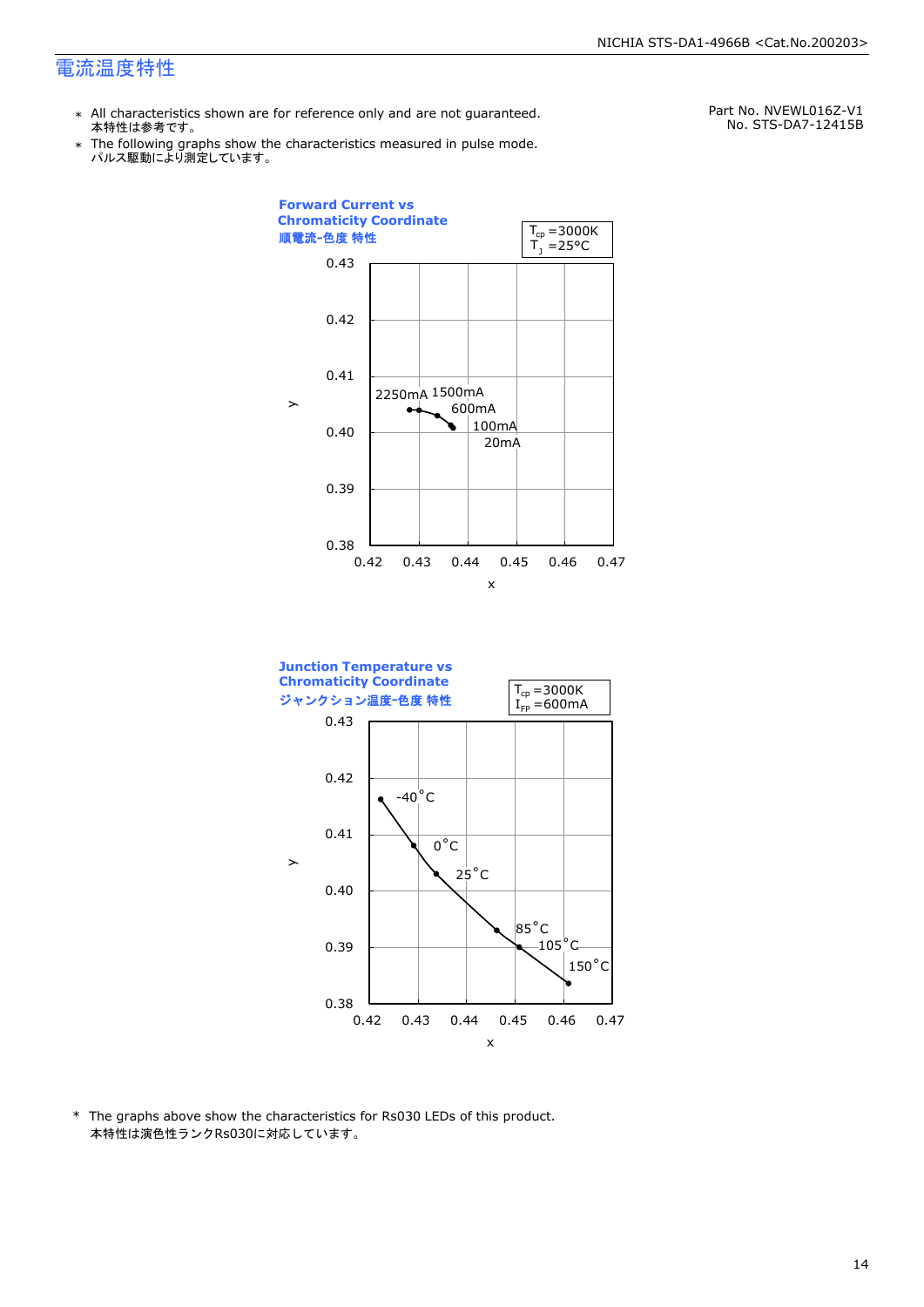- \* All characteristics shown are for reference only and are not guaranteed. 本特性は参考です。
- \* Ine following graphs show th<br>、パルス駆動により測定しています。 The following graphs show the characteristics measured in pulse mode.

Part No. NVEWL016Z-V1 No. STS-DA7-12415B





\* The graphs above show the characteristics for Rs030 LEDs of this product. 本特性は演色性ランクRs030に対応しています。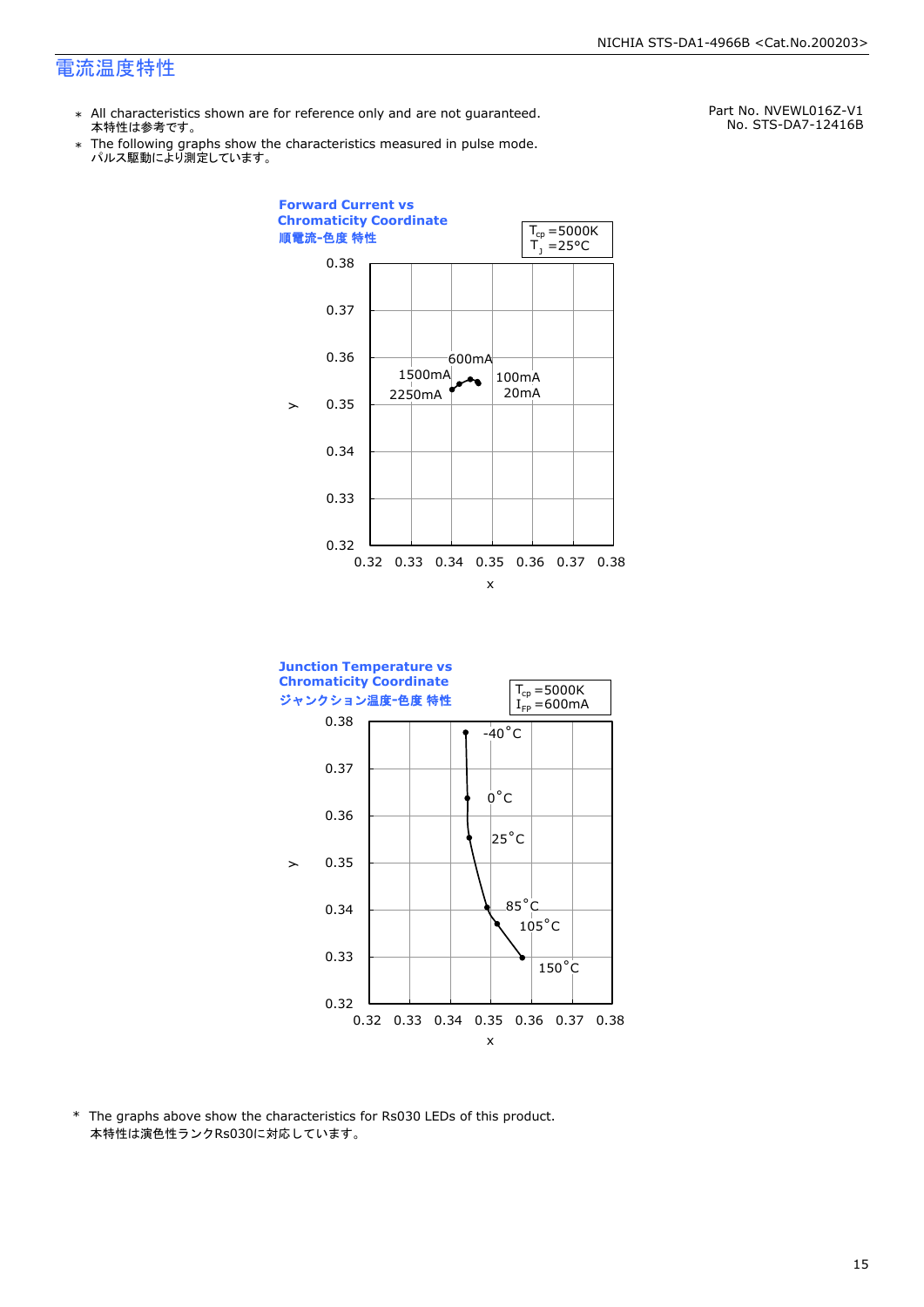- \* All characteristics shown are for reference only and are not guaranteed. 本特性は参考です。
- \* Ine following graphs show th<br>、パルス駆動により測定しています。 The following graphs show the characteristics measured in pulse mode.

Part No. NVEWL016Z-V1 No. STS-DA7-12416B





\* The graphs above show the characteristics for Rs030 LEDs of this product. 本特性は演色性ランクRs030に対応しています。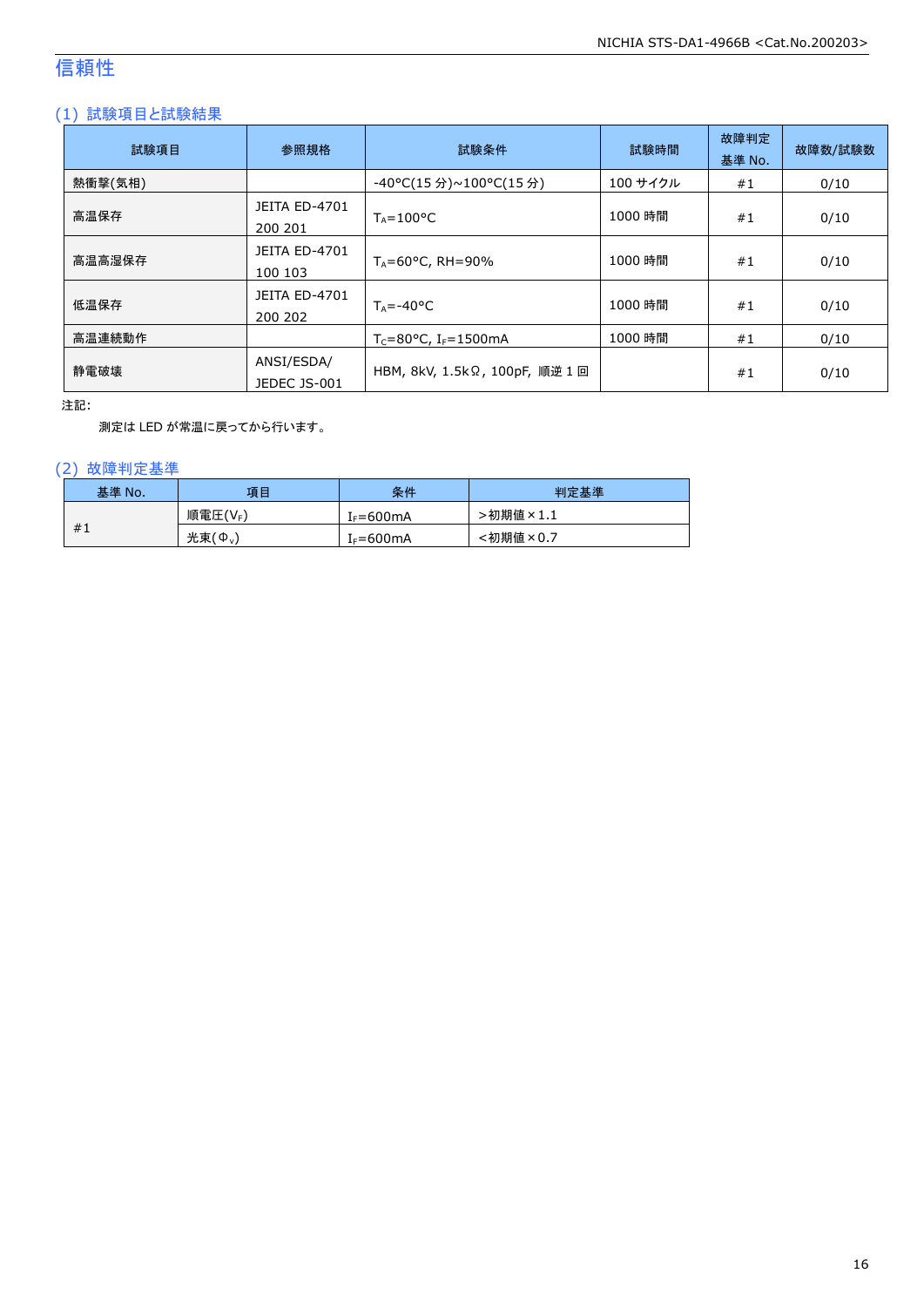### 信頼性

### (1) 試験項目と試験結果

| 試験項目    | 参照規格                            | 試験条件                                    | 試験時間     | 故障判定<br>基準 No. | 故障数/試験数 |
|---------|---------------------------------|-----------------------------------------|----------|----------------|---------|
| 熱衝撃(気相) |                                 | -40°C(15 分)~100°C(15 分)                 | 100 サイクル | #1             | 0/10    |
| 高温保存    | <b>JEITA ED-4701</b><br>200 201 | $T_A = 100^{\circ}C$                    | 1000 時間  | #1             | 0/10    |
| 高温高湿保存  | <b>JEITA ED-4701</b><br>100 103 | $T_A = 60^{\circ}$ C, RH = 90%          | 1000 時間  | #1             | 0/10    |
| 低温保存    | JEITA ED-4701<br>200 202        | $T_{\text{A}} = -40^{\circ}C$           | 1000 時間  | #1             | 0/10    |
| 高温連続動作  |                                 | $T_c = 80$ °C, I <sub>F</sub> = 1500 mA | 1000 時間  | #1             | 0/10    |
| 静電破壊    | ANSI/ESDA/<br>JEDEC JS-001      | HBM, 8kV, 1.5kΩ, 100pF, 順逆 1回           |          | #1             | 0/10    |

注記:

測定は LED が常温に戻ってから行います。

### (2) 故障判定基準

| 基準 No. | 項目      | 条件                   | 判定基準     |
|--------|---------|----------------------|----------|
|        | 順電圧(VF) | <sup>լ</sup> ⊧=600mA | ·初期値×1.1 |
| #1     | 光束(Φ.)  | $I_F = 600mA$        | :初期値×0.7 |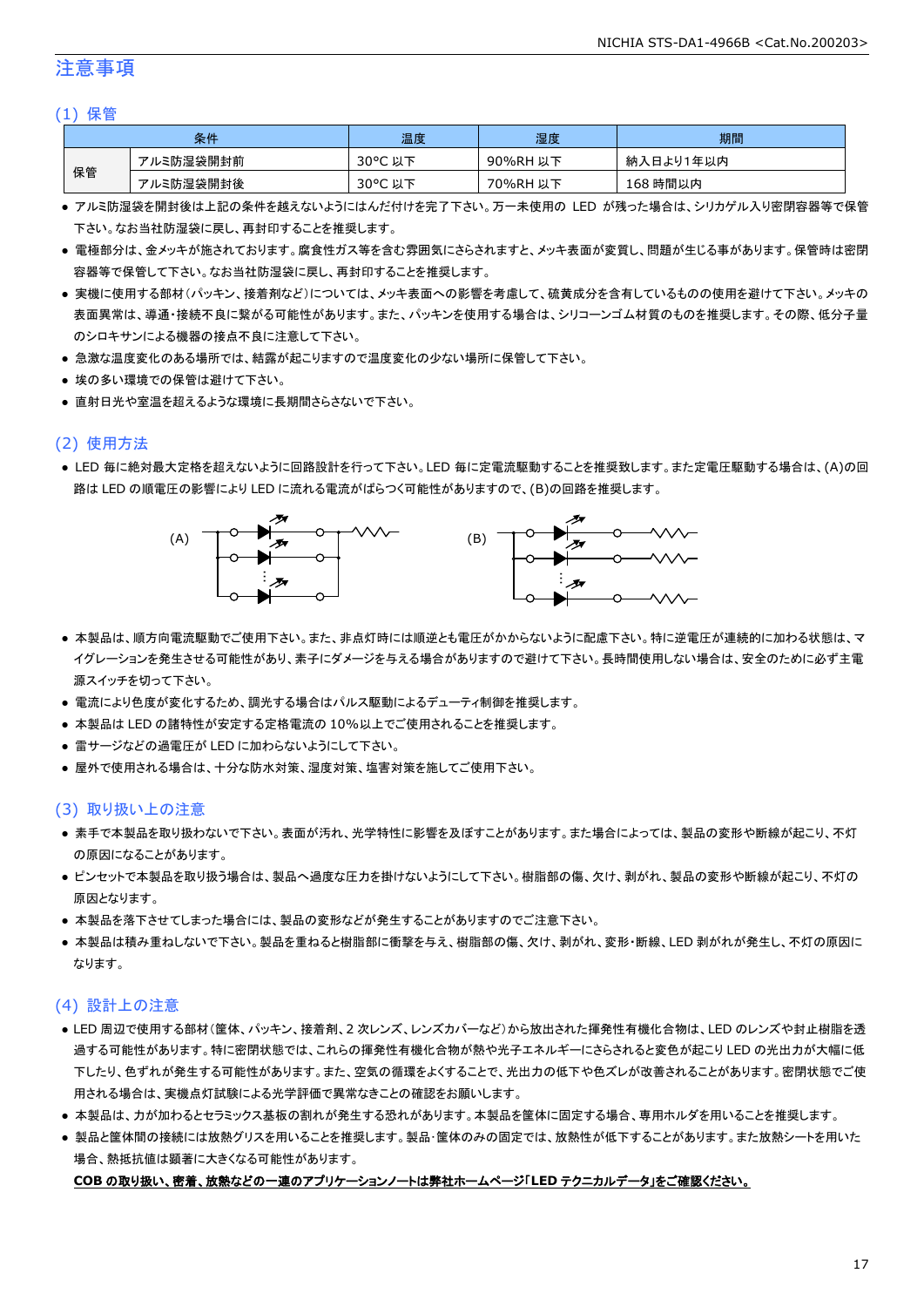### 注意事項

#### (1) 保管

| 条件 |           | 温度      | 湿度       | 期間        |
|----|-----------|---------|----------|-----------|
|    | アルミ防湿袋開封前 | 30°C 以下 | 90%RH 以下 | 納入日より1年以内 |
| 保管 | アルミ防湿袋開封後 | 30°C 以下 | 70%RH 以下 | 168 時間以内  |

- アルミ防湿袋を開封後は上記の条件を越えないようにはんだ付けを完了下さい。万一未使用の LED が残った場合は、シリカゲル入り密閉容器等で保管 下さい。なお当社防湿袋に戻し、再封印することを推奨します。
- 電極部分は、金メッキが施されております。腐食性ガス等を含む雰囲気にさらされますと、メッキ表面が変質し、問題が生じる事があります。保管時は密閉 容器等で保管して下さい。なお当社防湿袋に戻し、再封印することを推奨します。
- 実機に使用する部材(パッキン、接着剤など)については、メッキ表面への影響を考慮して、硫黄成分を含有しているものの使用を避けて下さい。メッキの 表面異常は、導通・接続不良に繋がる可能性があります。また、パッキンを使用する場合は、シリコーンゴム材質のものを推奨します。その際、低分子量 のシロキサンによる機器の接点不良に注意して下さい。
- 急激な温度変化のある場所では、結露が起こりますので温度変化の少ない場所に保管して下さい。
- 埃の多い環境での保管は避けて下さい。
- 直射日光や室温を超えるような環境に長期間さらさないで下さい。

### (2) 使用方法

● LED 毎に絶対最大定格を超えないように回路設計を行って下さい。LED 毎に定電流駆動することを推奨致します。また定電圧駆動する場合は、(A)の回 路は LED の順電圧の影響により LED に流れる電流がばらつく可能性がありますので、(B)の回路を推奨します。



- 本製品は、順方向電流駆動でご使用下さい。また、非点灯時には順逆とも電圧がかからないように配慮下さい。特に逆電圧が連続的に加わる状態は、マ イグレーションを発生させる可能性があり、素子にダメージを与える場合がありますので避けて下さい。長時間使用しない場合は、安全のために必ず主電 源スイッチを切って下さい。
- 電流により色度が変化するため、調光する場合はパルス駆動によるデューティ制御を推奨します。
- 本製品は LED の諸特性が安定する定格電流の 10%以上でご使用されることを推奨します。
- 雷サージなどの過電圧が LED に加わらないようにして下さい。
- 屋外で使用される場合は、十分な防水対策、湿度対策、塩害対策を施してご使用下さい。

#### (3) 取り扱い上の注意

- 素手で本製品を取り扱わないで下さい。表面が汚れ、光学特性に影響を及ぼすことがあります。また場合によっては、製品の変形や断線が起こり、不灯 の原因になることがあります。
- ピンセットで本製品を取り扱う場合は、製品へ過度な圧力を掛けないようにして下さい。樹脂部の傷、欠け、剥がれ、製品の変形や断線が起こり、不灯の 原因となります。
- 本製品を落下させてしまった場合には、製品の変形などが発生することがありますのでご注意下さい。
- 本製品は積み重ねしないで下さい。製品を重ねると樹脂部に衝撃を与え、樹脂部の傷、欠け、剥がれ、変形・断線、LED 剥がれが発生し、不灯の原因に なります。

#### (4) 設計上の注意

- LED 周辺で使用する部材(筐体、パッキン、接着剤、2 次レンズ、レンズカバーなど)から放出された揮発性有機化合物は、LED のレンズや封止樹脂を透 過する可能性があります。特に密閉状態では、これらの揮発性有機化合物が熱や光子エネルギーにさらされると変色が起こり LED の光出力が大幅に低 下したり、色ずれが発生する可能性があります。また、空気の循環をよくすることで、光出力の低下や色ズレが改善されることがあります。密閉状態でご使 用される場合は、実機点灯試験による光学評価で異常なきことの確認をお願いします。
- 本製品は、カが加わるとセラミックス基板の割れが発生する恐れがあります。本製品を筐体に固定する場合、専用ホルダを用いることを推奨します。
- 製品と筐体間の接続には放熱グリスを用いることを推奨します。製品・筐体のみの固定では、放熱性が低下することがあります。また放熱シートを用いた 場合、熱抵抗値は顕著に大きくなる可能性があります。

#### **COB** の取り扱い、密着、放熱などの一連のアプリケーションノートは弊社ホームページ「**LED** テクニカルデータ」をご確認ください。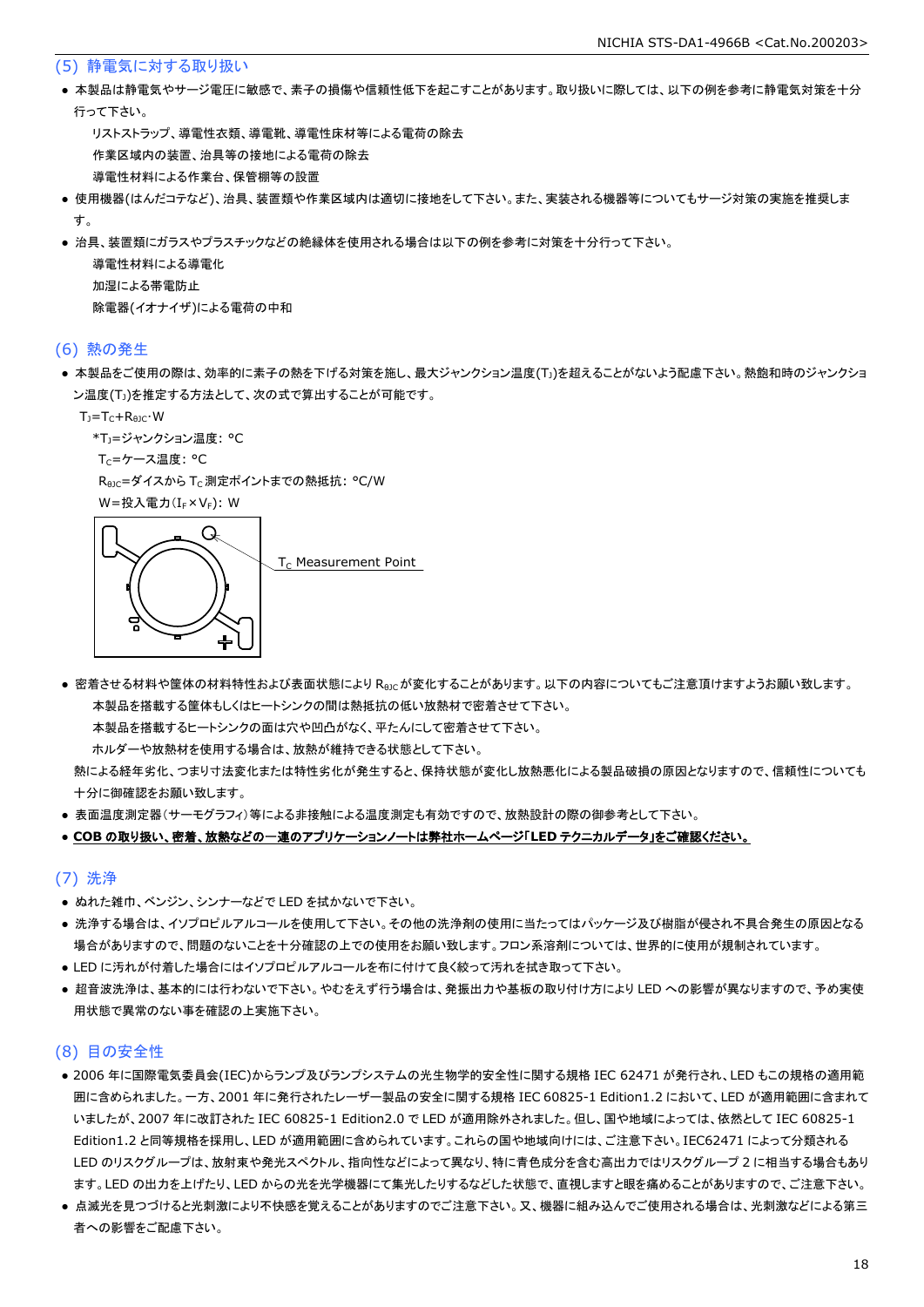#### (5) 静電気に対する取り扱い

● 本製品は静電気やサージ電圧に敏感で、素子の損傷や信頼性低下を起こすことがあります。取り扱いに際しては、以下の例を参考に静電気対策を十分 行って下さい。

 リストストラップ、導電性衣類、導電靴、導電性床材等による電荷の除去 作業区域内の装置、治具等の接地による電荷の除去 導電性材料による作業台、保管棚等の設置

- 使用機器(はんだコテなど)、治具、装置類や作業区域内は適切に接地をして下さい。また、実装される機器等についてもサージ対策の実施を推奨しま す。
- 治具、装置類にガラスやプラスチックなどの絶縁体を使用される場合は以下の例を参考に対策を十分行って下さい。

 導電性材料による導電化 加湿による帯電防止 除電器(イオナイザ)による電荷の中和

#### (6) 熱の発生

● 本製品をご使用の際は、効率的に素子の熱を下げる対策を施し、最大ジャンクション温度(T」)を超えることがないよう配慮下さい。熱飽和時のジャンクショ ン温度(T」)を推定する方法として、次の式で算出することが可能です。

 $T_J = T_C + R_{\theta JC} \cdot W$ 

```
*T<sub>1</sub>=ジャンクション温度: °C
```
Tc=ケース温度: °C

R<sub>0JC</sub>=ダイスから T<sub>C</sub> 測定ポイントまでの熱抵抗: °C/W

W=投入電力(I<sub>F</sub>×V<sub>F</sub>): W



● 密着させる材料や筐体の材料特性および表面状態により Reicが変化することがあります。以下の内容についてもご注意頂けますようお願い致します。 本製品を搭載する筐体もしくはヒートシンクの間は熱抵抗の低い放熱材で密着させて下さい。

本製品を搭載するヒートシンクの面は穴や凹凸がなく、平たんにして密着させて下さい。

ホルダーや放熱材を使用する場合は、放熱が維持できる状態として下さい。

 熱による経年劣化、つまり寸法変化または特性劣化が発生すると、保持状態が変化し放熱悪化による製品破損の原因となりますので、信頼性についても 十分に御確認をお願い致します。

● 表面温度測定器(サーモグラフィ)等による非接触による温度測定も有効ですので、放熱設計の際の御参考として下さい。

#### ● **COB** の取り扱い、密着、放熱などの一連のアプリケーションノートは弊社ホームページ「**LED** テクニカルデータ」をご確認ください。

#### (7) 洗浄

- ぬれた雑巾、ベンジン、シンナーなどで LED を拭かないで下さい。
- 洗浄する場合は、イソプロピルアルコールを使用して下さい。その他の洗浄剤の使用に当たってはパッケージ及び樹脂が侵され不具合発生の原因となる 場合がありますので、問題のないことを十分確認の上での使用をお願い致します。フロン系溶剤については、世界的に使用が規制されています。
- LED に汚れが付着した場合にはイソプロピルアルコールを布に付けて良く絞って汚れを拭き取って下さい。
- 超音波洗浄は、基本的には行わないで下さい。やむをえず行う場合は、発振出力や基板の取り付け方により LED への影響が異なりますので、予め実使 用状態で異常のない事を確認の上実施下さい。

#### (8) 目の安全性

- 2006 年に国際電気委員会(IEC)からランプ及びランプシステムの光生物学的安全性に関する規格 IEC 62471 が発行され、LED もこの規格の適用範 囲に含められました。一方、2001 年に発行されたレーザー製品の安全に関する規格 IEC 60825-1 Edition1.2 において、LED が適用範囲に含まれて いましたが、2007 年に改訂された IEC 60825-1 Edition2.0 で LED が適用除外されました。但し、国や地域によっては、依然として IEC 60825-1 Edition1.2 と同等規格を採用し、LED が適用範囲に含められています。これらの国や地域向けには、ご注意下さい。IEC62471 によって分類される LED のリスクグループは、放射束や発光スペクトル、指向性などによって異なり、特に青色成分を含む高出力ではリスクグループ 2 に相当する場合もあり ます。LED の出力を上げたり、LED からの光を光学機器にて集光したりするなどした状態で、直視しますと眼を痛めることがありますので、ご注意下さい。
- 点滅光を見つづけると光刺激により不快感を覚えることがありますのでご注意下さい。又、機器に組み込んでご使用される場合は、光刺激などによる第三 者への影響をご配慮下さい。